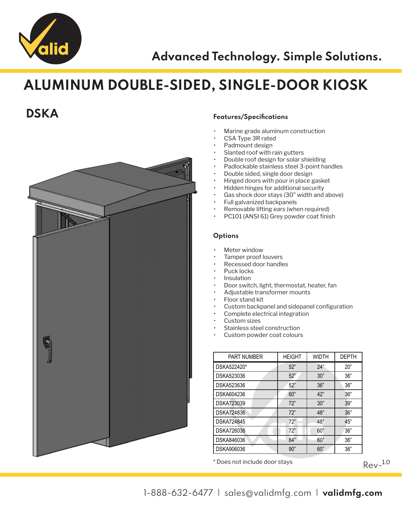

## ALUMINUM DOUBLE-SIDED, SINGLE-DOOR KIOSK



### **DSKA** Features/Specifications

- Marine grade aluminum construction
- CSA Type 3R rated
- Padmount design
- Slanted roof with rain gutters
- Double roof design for solar shielding
- Padlockable stainless steel 3-point handles
- Double sided, single door design
- Hinged doors with pour in place gasket
- Hidden hinges for additional security
- Gas shock door stays (30" width and above)
- Full galvanized backpanels
- Removable lifting ears (when required)
- PC101 (ANSI 61) Grey powder coat finish

### **Options**

- **Meter window**
- Tamper proof louvers
- Recessed door handles
- Puck locks
- Insulation
- Door switch, light, thermostat, heater, fan
- Adjustable transformer mounts
- Floor stand kit
- Custom backpanel and sidepanel configuration
- Complete electrical integration
- Custom sizes
- Stainless steel construction
- Custom powder coat colours

| <b>PART NUMBER</b> | <b>HEIGHT</b> | <b>WIDTH</b> | <b>DEPTH</b> |
|--------------------|---------------|--------------|--------------|
| DSKA522420*        | 52"           | 24"          | 20"          |
| DSKA523036         | 52"           | 30"          | 36"          |
| DSKA523636         | 52"           | 36"          | 36"          |
| DSKA604236         | 60"           | 42"          | 36"          |
| DSKA723039         | 72"           | 30"          | 39"          |
| <b>DSKA724836</b>  | 72"           | 48"          | 36"          |
| <b>DSKA724845</b>  | 72"           | 48"          | 45"          |
| <b>DSKA726036</b>  | 72"           | 60"          | 36"          |
| DSKA846036         | 84"           | 60"          | 36"          |
| DSKA906036         | 90"           | 60"          | 36"          |

\* Does not include door stays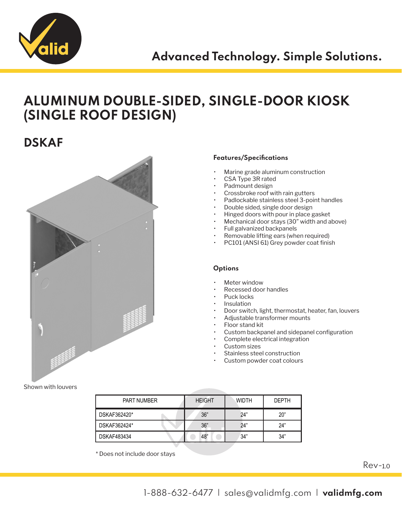

## ALUMINUM DOUBLE-SIDED, SINGLE-DOOR KIOSK (SINGLE ROOF DESIGN)

### **DSKAF**



### Features/Specifications

- Marine grade aluminum construction
- CSA Type 3R rated
- Padmount design
- Crossbroke roof with rain gutters
- Padlockable stainless steel 3-point handles
- Double sided, single door design
- Hinged doors with pour in place gasket
- Mechanical door stays (30" width and above)
- Full galvanized backpanels
- Removable lifting ears (when required)
- PC101 (ANSI 61) Grey powder coat finish

#### **Options**

- Meter window
- Recessed door handles
- Puck locks
- Insulation
- Door switch, light, thermostat, heater, fan, louvers
- Adjustable transformer mounts
- Floor stand kit
- Custom backpanel and sidepanel configuration
- Complete electrical integration
- Custom sizes
- Stainless steel construction
- Custom powder coat colours

| <b>PART NUMBER</b> | <b>HEIGHT</b> | WIDTH | <b>DEPTH</b> |
|--------------------|---------------|-------|--------------|
| DSKAF362420*       | 36"           | 24"   | 20"          |
| DSKAF362424*       | 36"           | 24"   | 24"          |
| <b>DSKAF483434</b> | 48"           | 34"   | 34"          |

\* Does not include door stays

Rev-1.0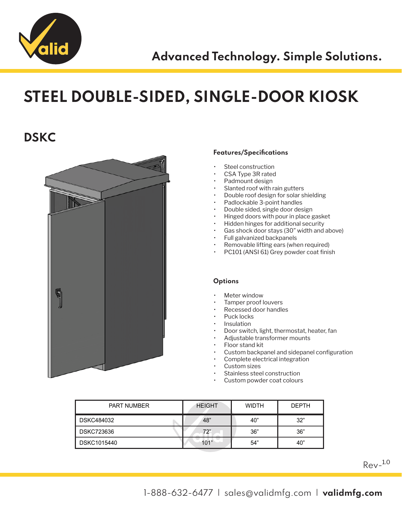

# STEEL DOUBLE-SIDED, SINGLE-DOOR KIOSK

## **DSKC**



### Features/Specifications

- Steel construction
- CSA Type 3R rated
- Padmount design
- Slanted roof with rain gutters
- Double roof design for solar shielding
- Padlockable 3-point handles
- Double sided, single door design
- Hinged doors with pour in place gasket
- Hidden hinges for additional security
- Gas shock door stays (30" width and above)
- Full galvanized backpanels
- Removable lifting ears (when required)
- PC101 (ANSI 61) Grey powder coat finish

#### **Options**

- Meter window
- Tamper proof louvers
- Recessed door handles
- Puck locks
- **Insulation**
- Door switch, light, thermostat, heater, fan
- Adjustable transformer mounts
- Floor stand kit
- Custom backpanel and sidepanel configuration
- Complete electrical integration
- Custom sizes
- Stainless steel construction
- Custom powder coat colours

| <b>PART NUMBER</b> | <b>HEIGHT</b> | <b>WIDTH</b> | <b>DEPTH</b> |
|--------------------|---------------|--------------|--------------|
| DSKC484032         | 48"           | 40"          | 32"          |
| DSKC723636         | 72"           | 36"          | 36"          |
| DSKC1015440        | 101"          | 54"          | 40"          |

 $Rev-$ <sup>1.0</sup>